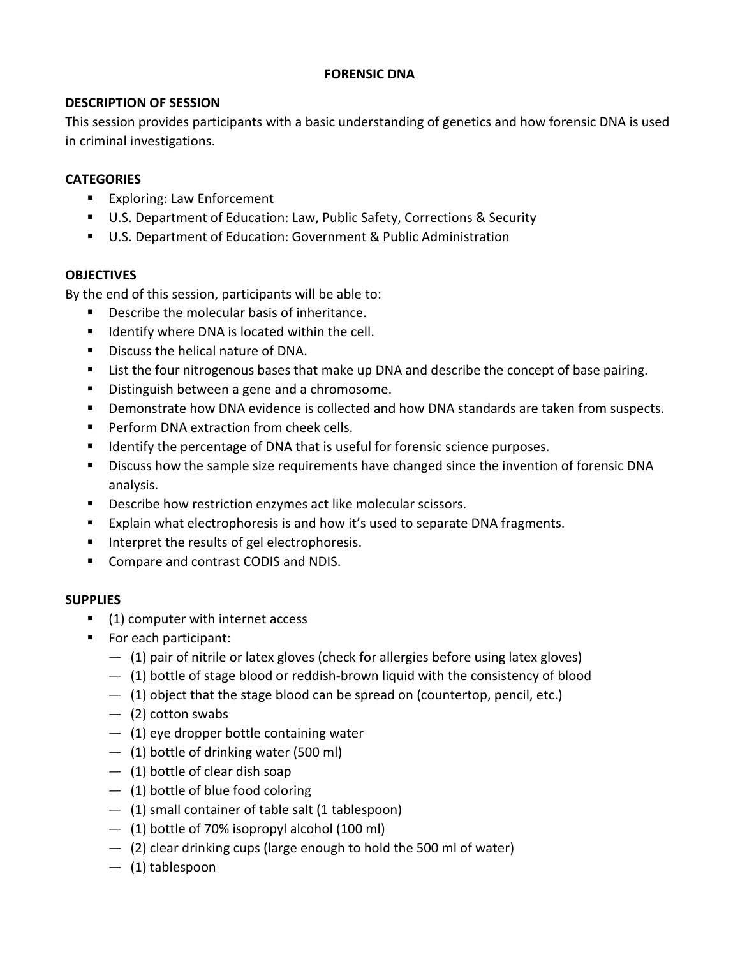## **FORENSIC DNA**

# **DESCRIPTION OF SESSION**

This session provides participants with a basic understanding of genetics and how forensic DNA is used in criminal investigations.

# **CATEGORIES**

- **Exploring: Law Enforcement**
- U.S. Department of Education: Law, Public Safety, Corrections & Security
- U.S. Department of Education: Government & Public Administration

## **OBJECTIVES**

By the end of this session, participants will be able to:

- Describe the molecular basis of inheritance.
- **If** Identify where DNA is located within the cell.
- **Discuss the helical nature of DNA.**
- **EXECT** List the four nitrogenous bases that make up DNA and describe the concept of base pairing.
- **Distinguish between a gene and a chromosome.**
- **Demonstrate how DNA evidence is collected and how DNA standards are taken from suspects.**
- **Perform DNA extraction from cheek cells.**
- **IDENTIFY 11 IDENTIFY 10 ISON THE INCOCO FORM** to the percentage purposes.
- Discuss how the sample size requirements have changed since the invention of forensic DNA analysis.
- **Describe how restriction enzymes act like molecular scissors.**
- Explain what electrophoresis is and how it's used to separate DNA fragments.
- Interpret the results of gel electrophoresis.
- **Compare and contrast CODIS and NDIS.**

## **SUPPLIES**

- (1) computer with internet access
- **For each participant:** 
	- $-$  (1) pair of nitrile or latex gloves (check for allergies before using latex gloves)
	- $-$  (1) bottle of stage blood or reddish-brown liquid with the consistency of blood
	- $-$  (1) object that the stage blood can be spread on (countertop, pencil, etc.)
	- $-$  (2) cotton swabs
	- $-$  (1) eye dropper bottle containing water
	- $-$  (1) bottle of drinking water (500 ml)
	- $-$  (1) bottle of clear dish soap
	- $-$  (1) bottle of blue food coloring
	- $-$  (1) small container of table salt (1 tablespoon)
	- $-$  (1) bottle of 70% isopropyl alcohol (100 ml)
	- $-$  (2) clear drinking cups (large enough to hold the 500 ml of water)
	- (1) tablespoon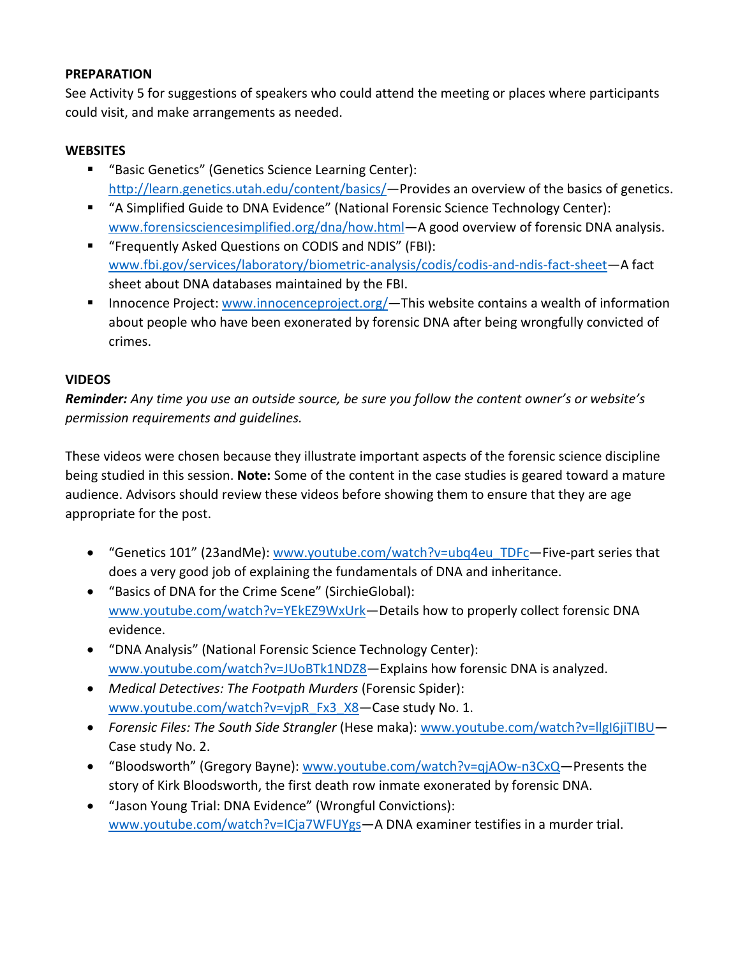#### **PREPARATION**

See Activity 5 for suggestions of speakers who could attend the meeting or places where participants could visit, and make arrangements as needed.

# **WEBSITES**

- "Basic Genetics" (Genetics Science Learning Center): [http://learn.genetics.utah.edu/content/basics/—](http://learn.genetics.utah.edu/content/basics/)Provides an overview of the basics of genetics.
- "A Simplified Guide to DNA Evidence" (National Forensic Science Technology Center): [www.forensicsciencesimplified.org/dna/how.html—](http://www.forensicsciencesimplified.org/dna/how.html)A good overview of forensic DNA analysis.
- "Frequently Asked Questions on CODIS and NDIS" (FBI): [www.fbi.gov/services/laboratory/biometric-analysis/codis/codis-and-ndis-fact-sheet—](http://www.fbi.gov/services/laboratory/biometric-analysis/codis/codis-and-ndis-fact-sheet)A fact sheet about DNA databases maintained by the FBI.
- **Innocence Project: www.innocenceproject.org/**—This website contains a wealth of information about people who have been exonerated by forensic DNA after being wrongfully convicted of crimes.

# **VIDEOS**

*Reminder: Any time you use an outside source, be sure you follow the content owner's or website's permission requirements and guidelines.*

These videos were chosen because they illustrate important aspects of the forensic science discipline being studied in this session. **Note:** Some of the content in the case studies is geared toward a mature audience. Advisors should review these videos before showing them to ensure that they are age appropriate for the post.

- "Genetics 101" (23andMe): [www.youtube.com/watch?v=ubq4eu\\_TDFc—](http://www.youtube.com/watch?v=ubq4eu_TDFc)Five-part series that does a very good job of explaining the fundamentals of DNA and inheritance.
- "Basics of DNA for the Crime Scene" (SirchieGlobal): www.youtube.com/watch?v=YEkEZ9WxUrk-Details how to properly collect forensic DNA evidence.
- "DNA Analysis" (National Forensic Science Technology Center): [www.youtube.com/watch?v=JUoBTk1NDZ8—](http://www.youtube.com/watch?v=JUoBTk1NDZ8)Explains how forensic DNA is analyzed.
- *Medical Detectives: The Footpath Murders* (Forensic Spider): www.youtube.com/watch?v=vjpR\_Fx3\_X8-Case study No. 1.
- *Forensic Files: The South Side Strangler* (Hese maka): www.youtube.com/watch?v=llgI6jiTIBU-Case study No. 2.
- "Bloodsworth" (Gregory Bayne): [www.youtube.com/watch?v=qjAOw-n3CxQ—](http://www.youtube.com/watch?v=qjAOw-n3CxQ)Presents the story of Kirk Bloodsworth, the first death row inmate exonerated by forensic DNA.
- "Jason Young Trial: DNA Evidence" (Wrongful Convictions): [www.youtube.com/watch?v=ICja7WFUYgs—](http://www.youtube.com/watch?v=ICja7WFUYgs)A DNA examiner testifies in a murder trial.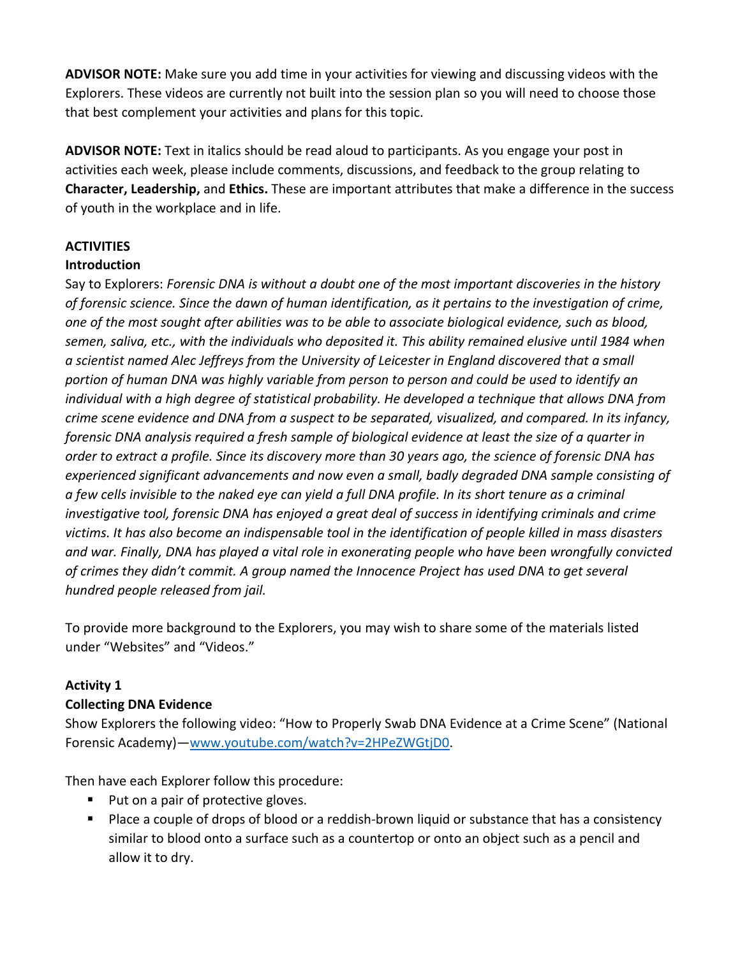**ADVISOR NOTE:** Make sure you add time in your activities for viewing and discussing videos with the Explorers. These videos are currently not built into the session plan so you will need to choose those that best complement your activities and plans for this topic.

**ADVISOR NOTE:** Text in italics should be read aloud to participants. As you engage your post in activities each week, please include comments, discussions, and feedback to the group relating to **Character, Leadership,** and **Ethics.** These are important attributes that make a difference in the success of youth in the workplace and in life.

# **ACTIVITIES**

## **Introduction**

Say to Explorers: *Forensic DNA is without a doubt one of the most important discoveries in the history of forensic science. Since the dawn of human identification, as it pertains to the investigation of crime, one of the most sought after abilities was to be able to associate biological evidence, such as blood, semen, saliva, etc., with the individuals who deposited it. This ability remained elusive until 1984 when a scientist named Alec Jeffreys from the University of Leicester in England discovered that a small portion of human DNA was highly variable from person to person and could be used to identify an individual with a high degree of statistical probability. He developed a technique that allows DNA from crime scene evidence and DNA from a suspect to be separated, visualized, and compared. In its infancy, forensic DNA analysis required a fresh sample of biological evidence at least the size of a quarter in order to extract a profile. Since its discovery more than 30 years ago, the science of forensic DNA has experienced significant advancements and now even a small, badly degraded DNA sample consisting of a few cells invisible to the naked eye can yield a full DNA profile. In its short tenure as a criminal investigative tool, forensic DNA has enjoyed a great deal of success in identifying criminals and crime victims. It has also become an indispensable tool in the identification of people killed in mass disasters and war. Finally, DNA has played a vital role in exonerating people who have been wrongfully convicted of crimes they didn't commit. A group named the Innocence Project has used DNA to get several hundred people released from jail.*

To provide more background to the Explorers, you may wish to share some of the materials listed under "Websites" and "Videos."

## **Activity 1**

## **Collecting DNA Evidence**

Show Explorers the following video: "How to Properly Swab DNA Evidence at a Crime Scene" (National Forensic Academy)[—www.youtube.com/watch?v=2HPeZWGtjD0.](http://www.youtube.com/watch?v=2HPeZWGtjD0)

Then have each Explorer follow this procedure:

- Put on a pair of protective gloves.
- Place a couple of drops of blood or a reddish-brown liquid or substance that has a consistency similar to blood onto a surface such as a countertop or onto an object such as a pencil and allow it to dry.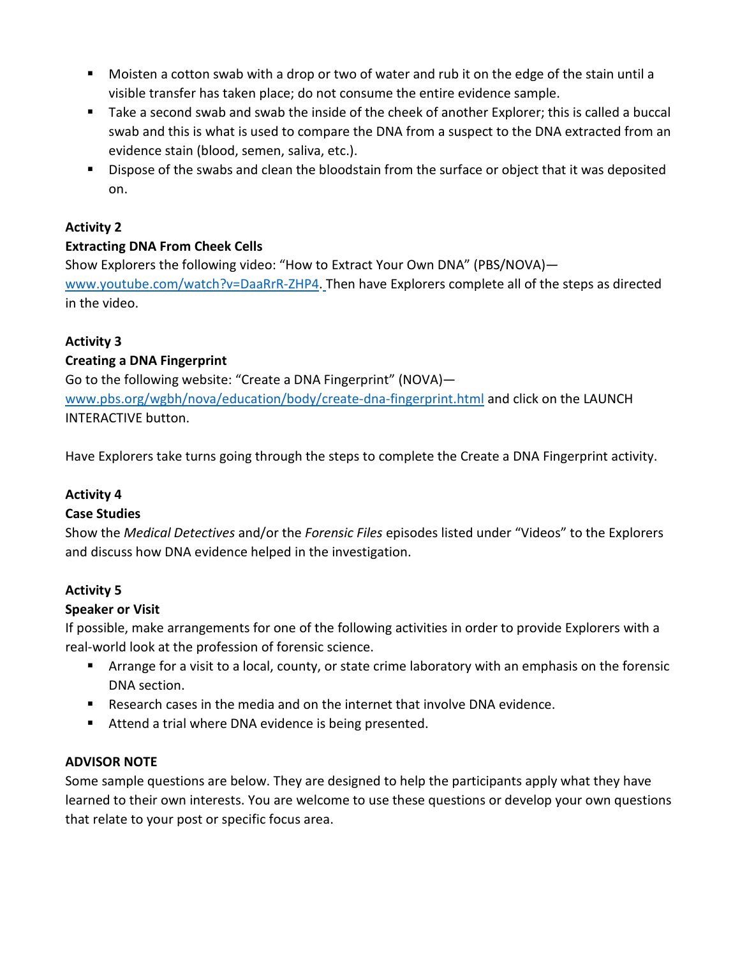- Moisten a cotton swab with a drop or two of water and rub it on the edge of the stain until a visible transfer has taken place; do not consume the entire evidence sample.
- Take a second swab and swab the inside of the cheek of another Explorer; this is called a buccal swab and this is what is used to compare the DNA from a suspect to the DNA extracted from an evidence stain (blood, semen, saliva, etc.).
- Dispose of the swabs and clean the bloodstain from the surface or object that it was deposited on.

# **Activity 2**

# **Extracting DNA From Cheek Cells**

Show Explorers the following video: "How to Extract Your Own DNA" (PBS/NOVA) [www.youtube.com/watch?v=DaaRrR-ZHP4.](http://www.youtube.com/watch?v=DaaRrR-ZHP4) Then have Explorers complete all of the steps as directed in the video.

# **Activity 3**

# **Creating a DNA Fingerprint**

Go to the following website: "Create a DNA Fingerprint" (NOVA) [www.pbs.org/wgbh/nova/education/body/create-dna-fingerprint.html](http://www.pbs.org/wgbh/nova/education/body/create-dna-fingerprint.html) and click on the LAUNCH INTERACTIVE button.

Have Explorers take turns going through the steps to complete the Create a DNA Fingerprint activity.

## **Activity 4**

## **Case Studies**

Show the *Medical Detectives* and/or the *Forensic Files* episodes listed under "Videos" to the Explorers and discuss how DNA evidence helped in the investigation.

## **Activity 5**

## **Speaker or Visit**

If possible, make arrangements for one of the following activities in order to provide Explorers with a real-world look at the profession of forensic science.

- Arrange for a visit to a local, county, or state crime laboratory with an emphasis on the forensic DNA section.
- Research cases in the media and on the internet that involve DNA evidence.
- Attend a trial where DNA evidence is being presented.

## **ADVISOR NOTE**

Some sample questions are below. They are designed to help the participants apply what they have learned to their own interests. You are welcome to use these questions or develop your own questions that relate to your post or specific focus area.